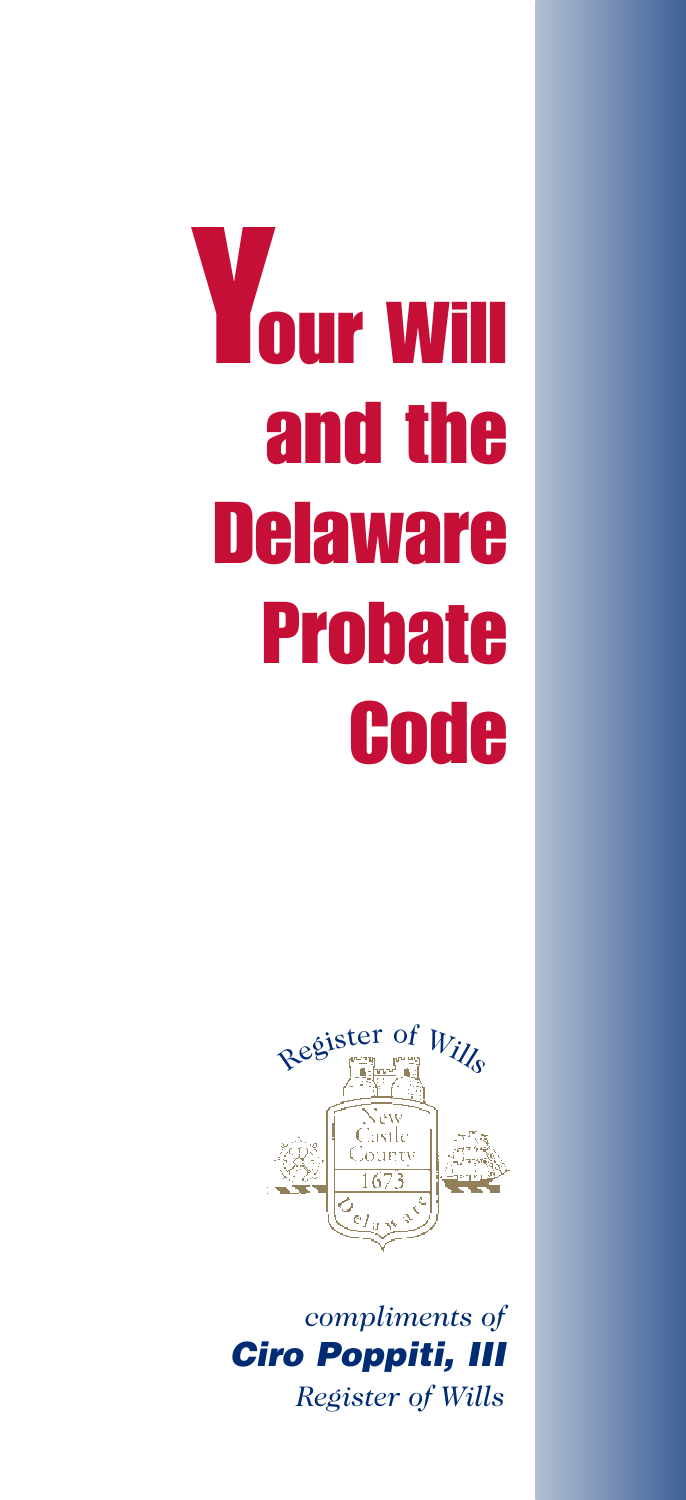# **Your Will and the Delaware Probate Code**



*compliments of Ciro Poppiti, III Register of Wills*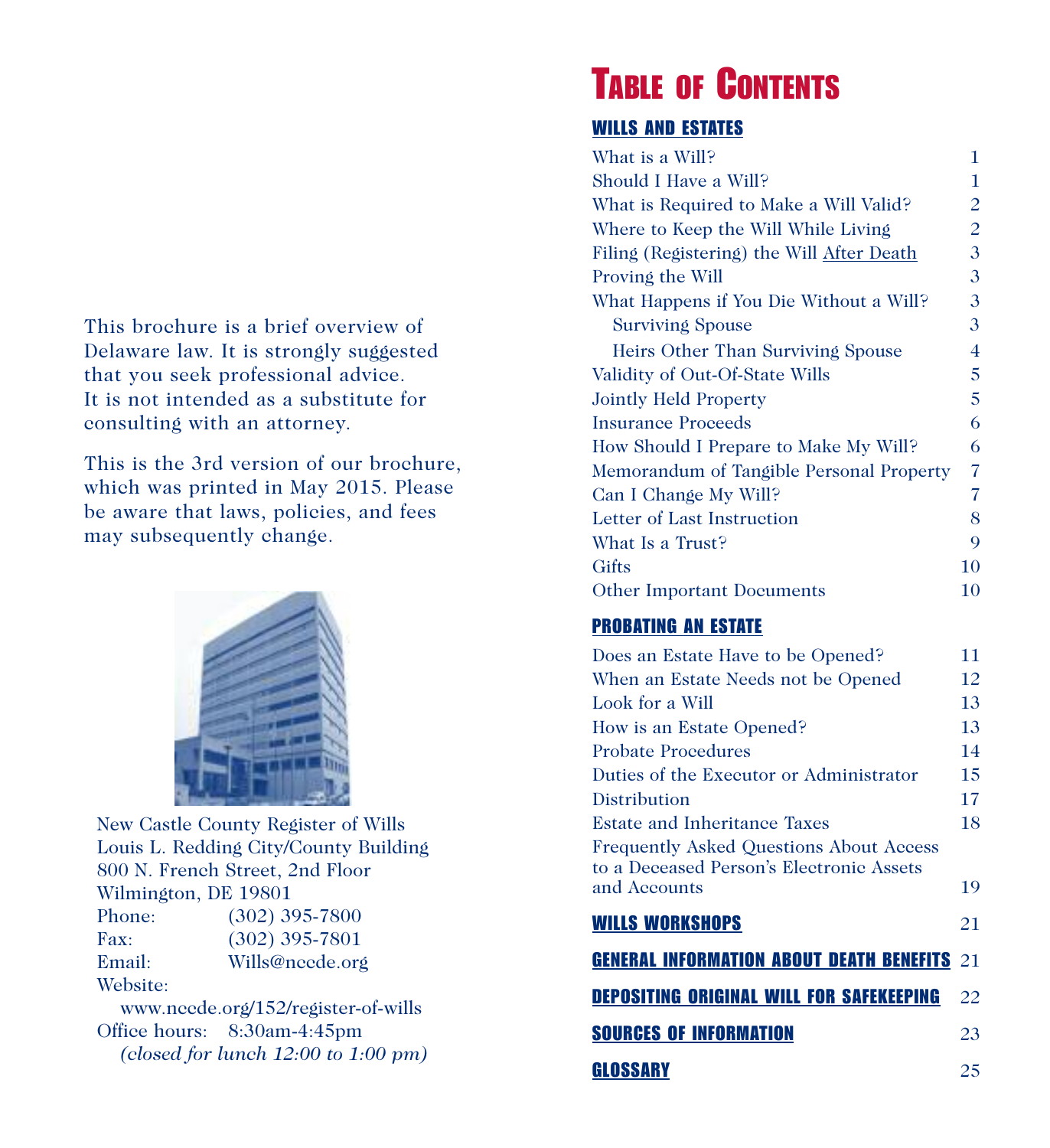This brochure is a brief overview of Delaware law. It is strongly suggested that you seek professional advice. It is not intended as a substitute for consulting with an attorney.

This is the 3rd version of our brochure, which was printed in May 2015. Please be aware that laws, policies, and fees may subsequently change.



New Castle County Register of Wills Louis L. Redding City/County Building 800 N. French Street, 2nd Floor Wilmington, DE 19801 Phone: (302) 395-7800 Fax: (302) 395-7801 Email: Wills@nccde.org Website:

www.nccde.org/152/register-of-wills Office hours: 8:30am-4:45pm *(closed for lunch 12:00 to 1:00 pm)*

# **TABLE OF CONTENTS**

### **WILLS AND ESTATES**

| What is a Will?                           | 1              |
|-------------------------------------------|----------------|
| Should I Have a Will?                     | 1              |
| What is Required to Make a Will Valid?    | 2              |
| Where to Keep the Will While Living       | 2              |
| Filing (Registering) the Will After Death | 3              |
| Proving the Will                          | 3              |
| What Happens if You Die Without a Will?   | 3              |
| <b>Surviving Spouse</b>                   | 3              |
| Heirs Other Than Surviving Spouse         | 4              |
| Validity of Out-Of-State Wills            | 5              |
| <b>Jointly Held Property</b>              | 5              |
| <b>Insurance Proceeds</b>                 | 6              |
| How Should I Prepare to Make My Will?     | 6              |
| Memorandum of Tangible Personal Property  | $\overline{7}$ |
| Can I Change My Will?                     | 7              |
| Letter of Last Instruction                | 8              |
| What Is a Trust?                          | 9              |
| Gifts                                     | 10             |
| <b>Other Important Documents</b>          | 10             |

### **PROBATING AN ESTATE**

| Does an Estate Have to be Opened?                                                          | 11 |
|--------------------------------------------------------------------------------------------|----|
| When an Estate Needs not be Opened                                                         | 12 |
| Look for a Will                                                                            | 13 |
| How is an Estate Opened?                                                                   | 13 |
| <b>Probate Procedures</b>                                                                  | 14 |
| Duties of the Executor or Administrator                                                    | 15 |
| Distribution                                                                               | 17 |
| Estate and Inheritance Taxes                                                               | 18 |
| <b>Frequently Asked Questions About Access</b><br>to a Deceased Person's Electronic Assets |    |
| and Accounts                                                                               | 19 |
| <b>WILLS WORKSHOPS</b>                                                                     | 21 |
| <b>GENERAL INFORMATION ABOUT DEATH BENEFITS 21</b>                                         |    |
| <b>DEPOSITING ORIGINAL WILL FOR SAFEKEEPING</b>                                            | 22 |
| <b>SOURCES OF INFORMATION</b>                                                              | 23 |
| GLOSSARY                                                                                   | 25 |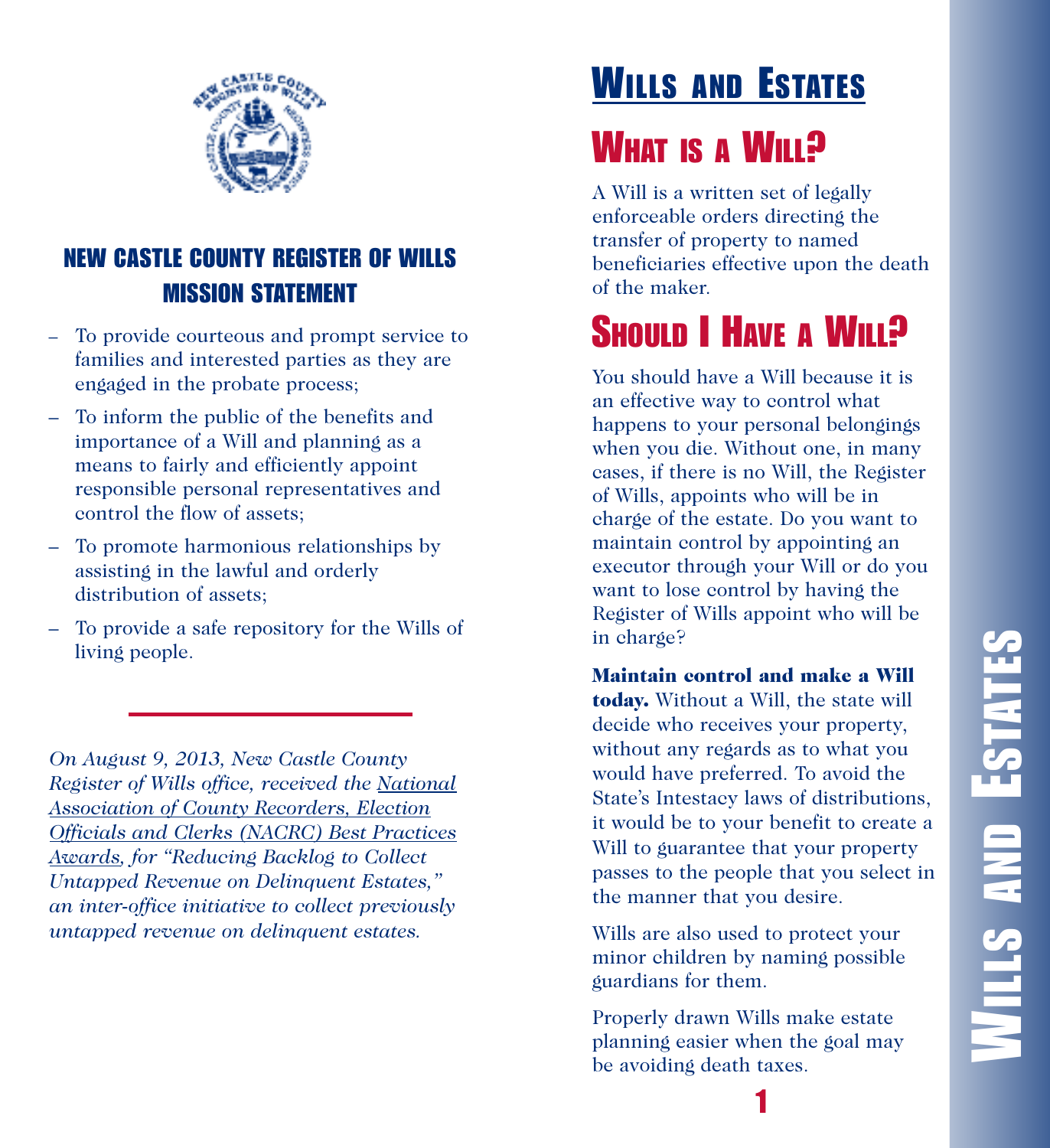

### **NEW CASTLE COUNTY REGISTER OF WILLS MISSION STATEMENT**

- To provide courteous and prompt service to families and interested parties as they are engaged in the probate process;
- To inform the public of the benefits and importance of a Will and planning as a means to fairly and efficiently appoint responsible personal representatives and control the flow of assets;
- To promote harmonious relationships by assisting in the lawful and orderly distribution of assets;
- To provide a safe repository for the Wills of living people.

*On August 9, 2013, New Castle County Register of Wills office, received the National Association of County Recorders, Election Officials and Clerks (NACRC) Best Practices Awards, for "Reducing Backlog to Collect Untapped Revenue on Delinquent Estates," an inter-office initiative to collect previously untapped revenue on delinquent estates.*

# **WILLS AND ESTATES**

# **WHAT IS A WILL?**

A Will is a written set of legally enforceable orders directing the transfer of property to named beneficiaries effective upon the death of the maker.

# **SHOULD I HAVE A WILL?**

You should have a Will because it is an effective way to control what happens to your personal belongings when you die. Without one, in many cases, if there is no Will, the Register of Wills, appoints who will be in charge of the estate. Do you want to maintain control by appointing an executor through your Will or do you want to lose control by having the Register of Wills appoint who will be in charge?

**Maintain control and make a Will today.** Without a Will, the state will decide who receives your property, without any regards as to what you would have preferred. To avoid the State's Intestacy laws of distributions, it would be to your benefit to create a Will to guarantee that your property passes to the people that you select in the manner that you desire.

Wills are also used to protect your minor children by naming possible guardians for them.

Properly drawn Wills make estate planning easier when the goal may be avoiding death taxes.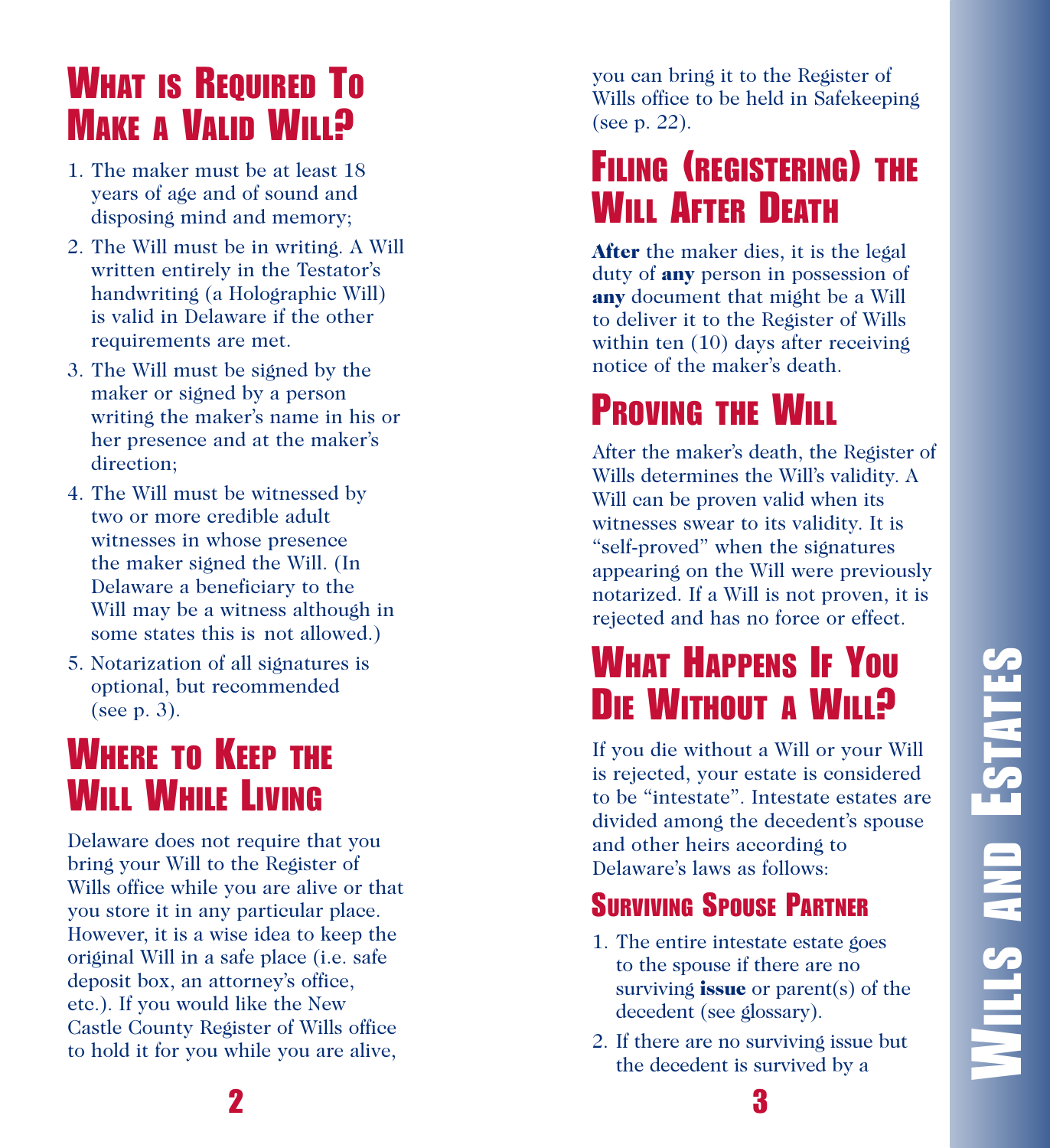# **WILLS AND ESTATESWILLS AND ESTATES**

# **W**HAT IS REQUIRED TO **WE A VALID WILL?**

- 1. The maker must be at least 18 years of age and of sound and disposing mind and memory;
- 2. The Will must be in writing. A Will written entirely in the Testator's handwriting (a Holographic Will) is valid in Delaware if the other requirements are met.
- 3. The Will must be signed by the maker or signed by a person writing the maker's name in his or her presence and at the maker's direction;
- 4. The Will must be witnessed by two or more credible adult witnesses in whose presence the maker signed the Will. (In Delaware a beneficiary to the Will may be a witness although in some states this is not allowed.)
- 5. Notarization of all signatures is optional, but recommended (see p. 3).

### **WHERE TO KEEP THE WILL WHILE LIVING**

Delaware does not require that you bring your Will to the Register of Wills office while you are alive or that you store it in any particular place. However, it is a wise idea to keep the original Will in a safe place (i.e. safe deposit box, an attorney's office, etc.). If you would like the New Castle County Register of Wills office to hold it for you while you are alive,

you can bring it to the Register of Wills office to be held in Safekeeping (see p. 22).

### **FILING (REGISTERING) THE WILL AFTER DEATH**

**After** the maker dies, it is the legal duty of **any** person in possession of any document that might be a Will to deliver it to the Register of Wills within ten (10) days after receiving notice of the maker's death.

# **PROVING THE WILL**

After the maker's death, the Register of Wills determines the Will's validity. A Will can be proven valid when its witnesses swear to its validity. It is "self-proved" when the signatures appearing on the Will were previously notarized. If a Will is not proven, it is rejected and has no force or effect.

### **WHAT HAPPENS IF YOU D**IE WITHOUT A WILL?

If you die without a Will or your Will is rejected, your estate is considered to be "intestate". Intestate estates are divided among the decedent's spouse and other heirs according to Delaware's laws as follows:

### **SURVIVING SPOUSE PARTNER**

- 1. The entire intestate estate goes to the spouse if there are no surviving **issue** or parent(s) of the decedent (see glossary).
- 2. If there are no surviving issue but the decedent is survived by a

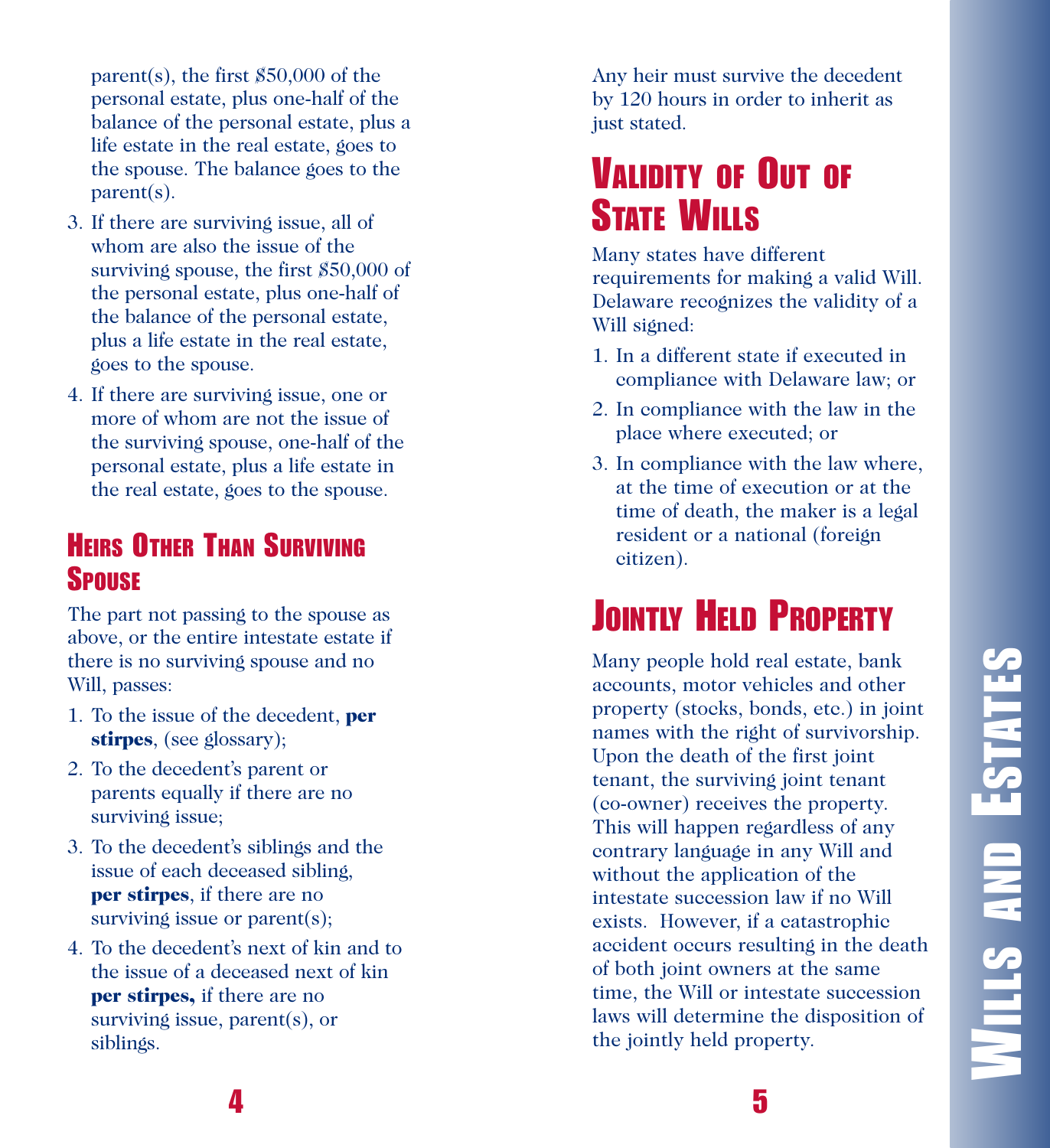**WILLS AND ESTATES WILLS AND ESTATES**

parent(s), the first  $$50,000$  of the personal estate, plus one-half of the balance of the personal estate, plus a life estate in the real estate, goes to the spouse. The balance goes to the  $parent(s)$ .

- 3. If there are surviving issue, all of whom are also the issue of the surviving spouse, the first \$50,000 of the personal estate, plus one-half of the balance of the personal estate, plus a life estate in the real estate, goes to the spouse.
- 4. If there are surviving issue, one or more of whom are not the issue of the surviving spouse, one-half of the personal estate, plus a life estate in the real estate, goes to the spouse.

### **HEIRS OTHER THAN SURVIVING SPOUSE**

The part not passing to the spouse as above, or the entire intestate estate if there is no surviving spouse and no Will, passes:

- 1. To the issue of the decedent, **per** stirpes, (see glossary);
- 2. To the decedent's parent or parents equally if there are no surviving issue;
- 3. To the decedent's siblings and the issue of each deceased sibling, **per stirpes**, if there are no surviving issue or parent $(s)$ ;
- 4. To the decedent's next of kin and to the issue of a deceased next of kin **per stirpes,** if there are no surviving issue, parent(s), or siblings.

**4**

Any heir must survive the decedent by 120 hours in order to inherit as just stated.

### **VALIDITY OF OUT OF** STATE WILLS

Many states have different requirements for making a valid Will. Delaware recognizes the validity of a Will signed:

- 1. In a different state if executed in compliance with Delaware law; or
- 2. In compliance with the law in the place where executed; or
- 3. In compliance with the law where, at the time of execution or at the time of death, the maker is a legal resident or a national (foreign citizen).

# **JOINTLY HELD PROPERTY**

Many people hold real estate, bank accounts, motor vehicles and other property (stocks, bonds, etc.) in joint names with the right of survivorship. Upon the death of the first joint tenant, the surviving joint tenant (co-owner) receives the property. This will happen regardless of any contrary language in any Will and without the application of the intestate succession law if no Will exists. However, if a catastrophic accident occurs resulting in the death of both joint owners at the same time, the Will or intestate succession laws will determine the disposition of the jointly held property.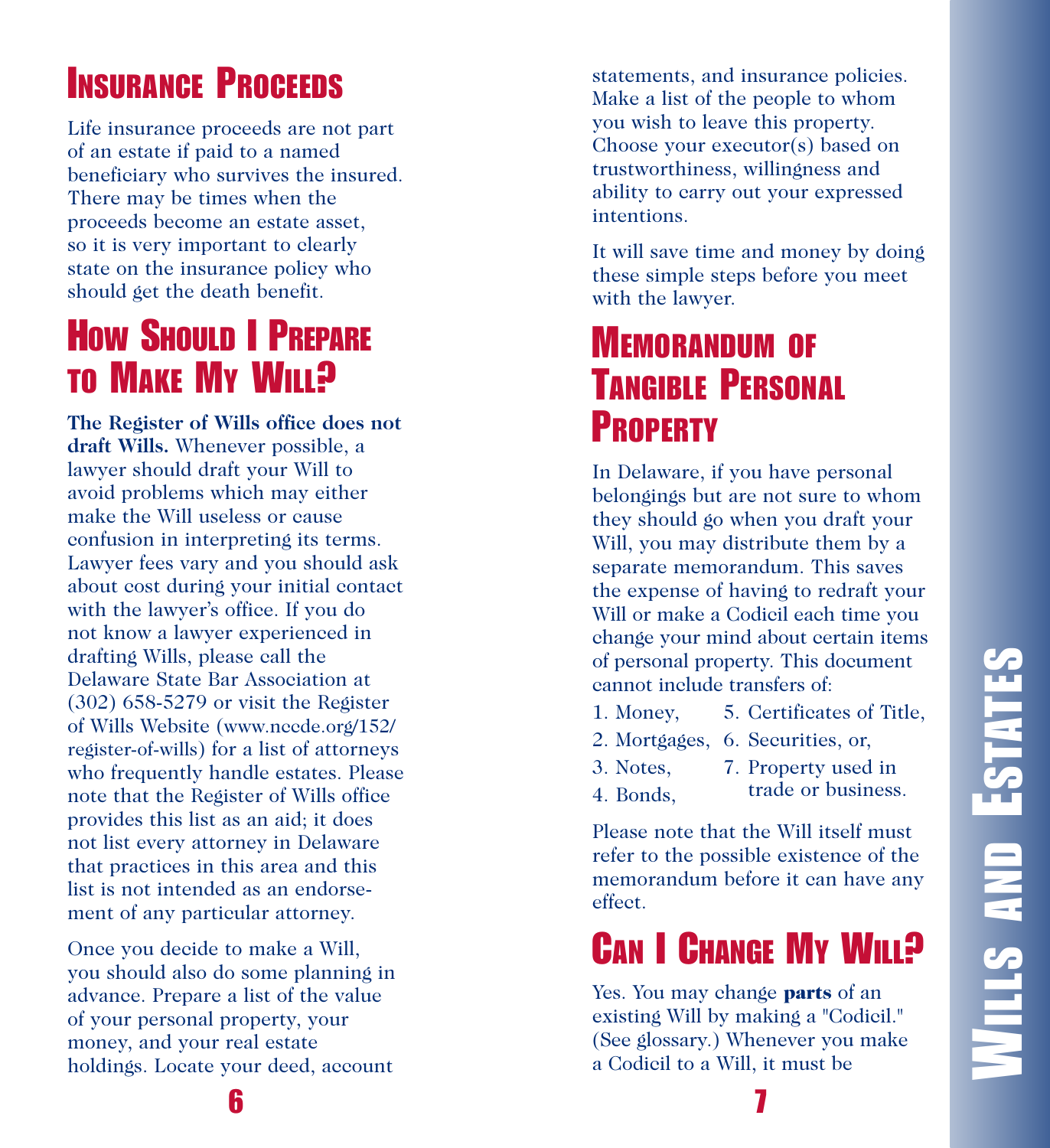# **INSURANCE PROCEEDS**

Life insurance proceeds are not part of an estate if paid to a named beneficiary who survives the insured. There may be times when the proceeds become an estate asset, so it is very important to clearly state on the insurance policy who should get the death benefit.

# **How Should I PREPARE TO MAKE MY WILL?**

The Register of Wills office does not draft Wills. Whenever possible, a lawyer should draft your Will to avoid problems which may either make the Will useless or cause confusion in interpreting its terms. Lawyer fees vary and you should ask about cost during your initial contact with the lawyer's office. If you do not know a lawyer experienced in drafting Wills, please call the Delaware State Bar Association at  $(302)$  658-5279 or visit the Register of Wills Website (www.nccde.org/152/ register-of-wills) for a list of attorneys who frequently handle estates. Please note that the Register of Wills office provides this list as an aid; it does not list every attorney in Delaware that practices in this area and this list is not intended as an endorsement of any particular attorney.

Once you decide to make a Will, you should also do some planning in advance. Prepare a list of the value of your personal property, your money, and your real estate holdings. Locate your deed, account

statements, and insurance policies. Make a list of the people to whom you wish to leave this property. Choose your executor(s) based on trustworthiness, willingness and ability to carry out your expressed intentions.

It will save time and money by doing these simple steps before you meet with the lawyer.

### **MEMORANDUM OF TANGIBLE PERSONAL PROPERTY**

In Delaware, if you have personal belongings but are not sure to whom they should go when you draft your Will, you may distribute them by a separate memorandum. This saves the expense of having to redraft your Will or make a Codicil each time you change your mind about certain items of personal property. This document cannot include transfers of:

- 1. Money, 5. Certificates of Title,
- 2. Mortgages, 6. Securities, or,
- 3. Notes, 7. Property used in
- 4. Bonds, trade or business.

Please note that the Will itself must refer to the possible existence of the memorandum before it can have any effect.

# CAN **I** CHANGE MY WILL?

Yes. You may change **parts** of an existing Will by making a "Codicil." (See glossary.) Whenever you make a Codicil to a Will, it must be

**6**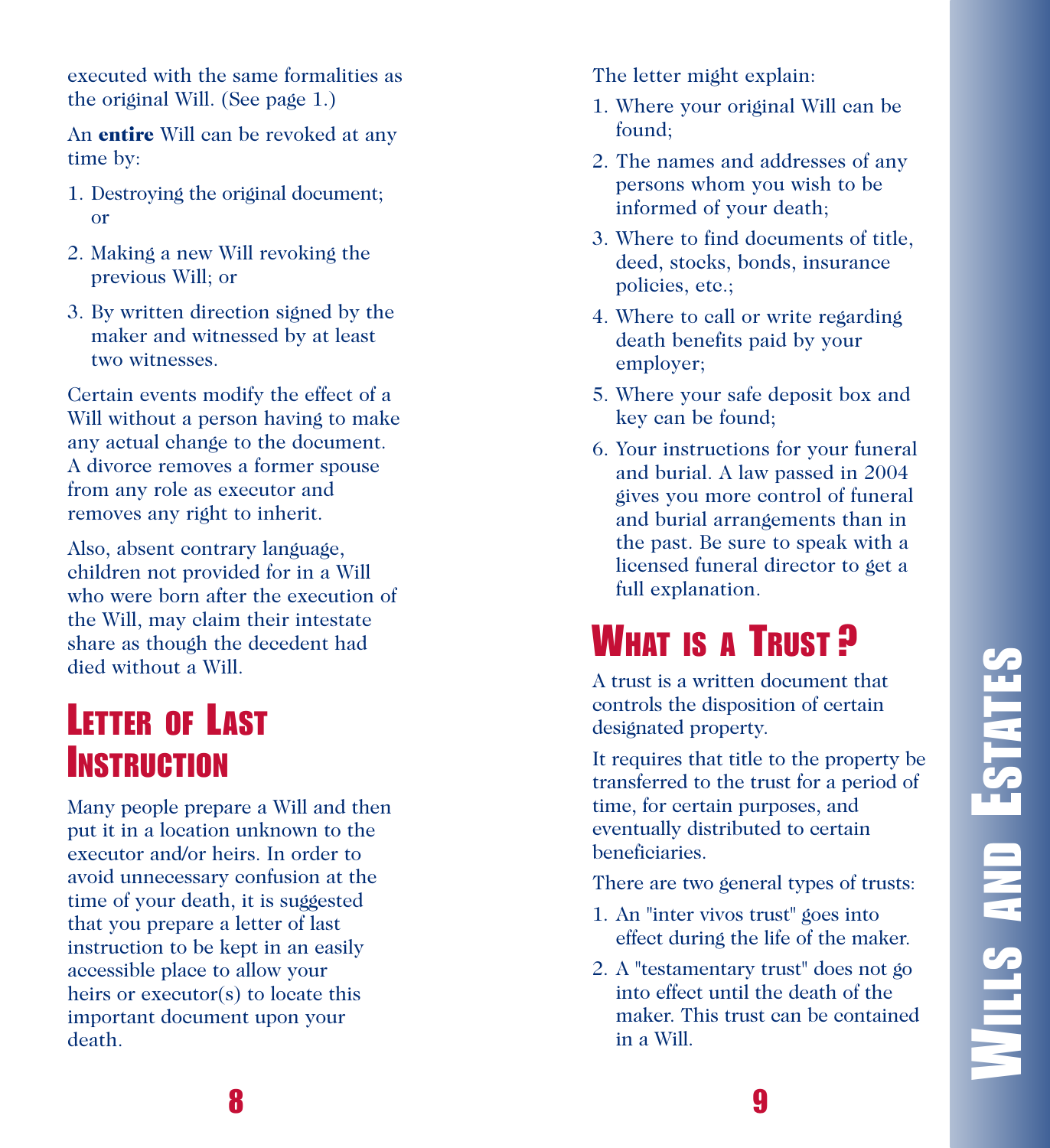**WILLS AND ESTATESWILLS AND ESTATES** 

executed with the same formalities as the original Will. (See page 1.)

An **entire** Will can be revoked at any time by:

- 1. Destroying the original document; o r
- 2. Making a new Will revoking the previous Will; or
- 3. By written direction signed by the maker and witnessed by at least two witnesses.

Certain events modify the effect of a Will without a person having to make any actual change to the document. A divorce removes a former spouse from any role as executor and removes any right to inherit.

Also, absent contrary language, children not provided for in a Will who were born after the execution of the Will, may claim their intestate share as though the decedent had died without a Will.

### **LETTER OF LAST INSTRUCTION**

Many people prepare a Will and then put it in a location unknown to the executor and/or heirs. In order to avoid unnecessary confusion at the time of your death, it is suggested that you prepare a letter of last instruction to be kept in an easily accessible place to allow your heirs or executor(s) to locate this important document upon your death.

The letter might explain:

- 1. Where your original Will can be found;
- 2. The names and addresses of any persons whom you wish to be informed of your death;
- 3. Where to find documents of title, deed, stocks, bonds, insurance policies, etc.;
- 4. Where to call or write regarding death benefits paid by your employer;
- 5. Where your safe deposit box and k e y c a n b e f o u n d ;
- 6. Your instructions for your funeral and burial. A law passed in 2004 gives you more control of funeral and burial arrangements than in the past. Be sure to speak with a licensed funeral director to get a full explanation.

# **WHAT** IS A TRUST?

A trust is a written document that controls the disposition of certain designated property.

It requires that title to the property be transferred to the trust for a period of time, for certain purposes, and eventually distributed to certain beneficiaries.

There are two general types of trusts:

- 1. An "inter vivos trust" goes into effect during the life of the maker.
- 2. A "testamentary trust" does not go into effect until the death of the maker. This trust can be contained i n a Wi l l .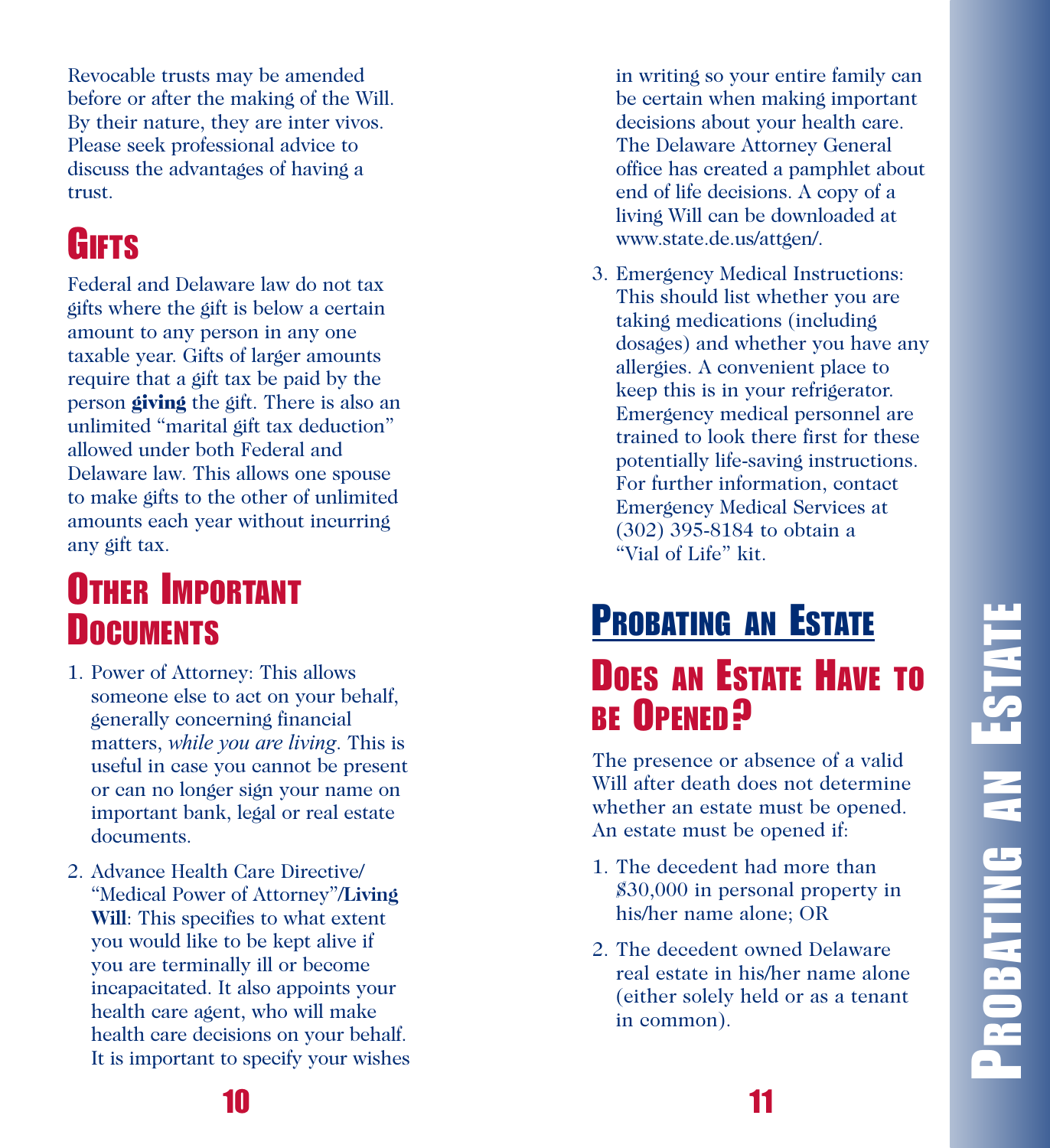**PROBATING AN ESTATE**PROBATING AN ESTATI

Revocable trusts may be amended before or after the making of the Will. By their nature, they are inter vivos. Please seek professional advice to discuss the advantages of having a trust.

# **G I F T S**

Federal and Delaware law do not tax gifts where the gift is below a certain amount to any person in any one taxable year. Gifts of larger amounts require that a gift tax be paid by the person **giving** the gift. There is also an unlimited "marital gift tax deduction" allowed under both Federal and Delaware law. This allows one spouse to make gifts to the other of unlimited amounts each year without incurring any gift tax.

# **OTHER IMPORTANT D OCUMENTS**

- 1. Power of Attorney: This allows someone else to act on your behalf, generally concerning financial matters, while you are living. This is useful in case you cannot be present or can no longer sign your name on important bank, legal or real estate documents.
- 2. Advance Health Care Directive/ "Medical Power of Attorney"/Living Will: This specifies to what extent you would like to be kept alive if you are terminally ill or become incapacitated. It also appoints your health care agent, who will make health care decisions on your behalf. It is important to specify your wishes

in writing so your entire family can be certain when making important decisions about your health care. The Delaware Attorney General office has created a pamphlet about end of life decisions. A copy of a living Will can be downloaded at www.state.de.us/attgen/.

3. Emergency Medical Instructions: This should list whether you are taking medications (including dosages) and whether you have any allergies. A convenient place to keep this is in your refrigerator. Emergency medical personnel are trained to look there first for these potentially life-saving instructions. For further information, contact Emergency Medical Services at (302) 395-8184 to obtain a "Vial of Life" kit.

# **PROBATING AN ESTATE DOES AN ESTATE HAVE TO B E O P E N E D ?**

The presence or absence of a valid Will after death does not determine whether an estate must be opened. An estate must be opened if:

- 1. The decedent had more than \$30,000 in personal property in his/her name alone; OR
- 2. The decedent owned Delaware real estate in his/her name alone (either solely held or as a tenant in common).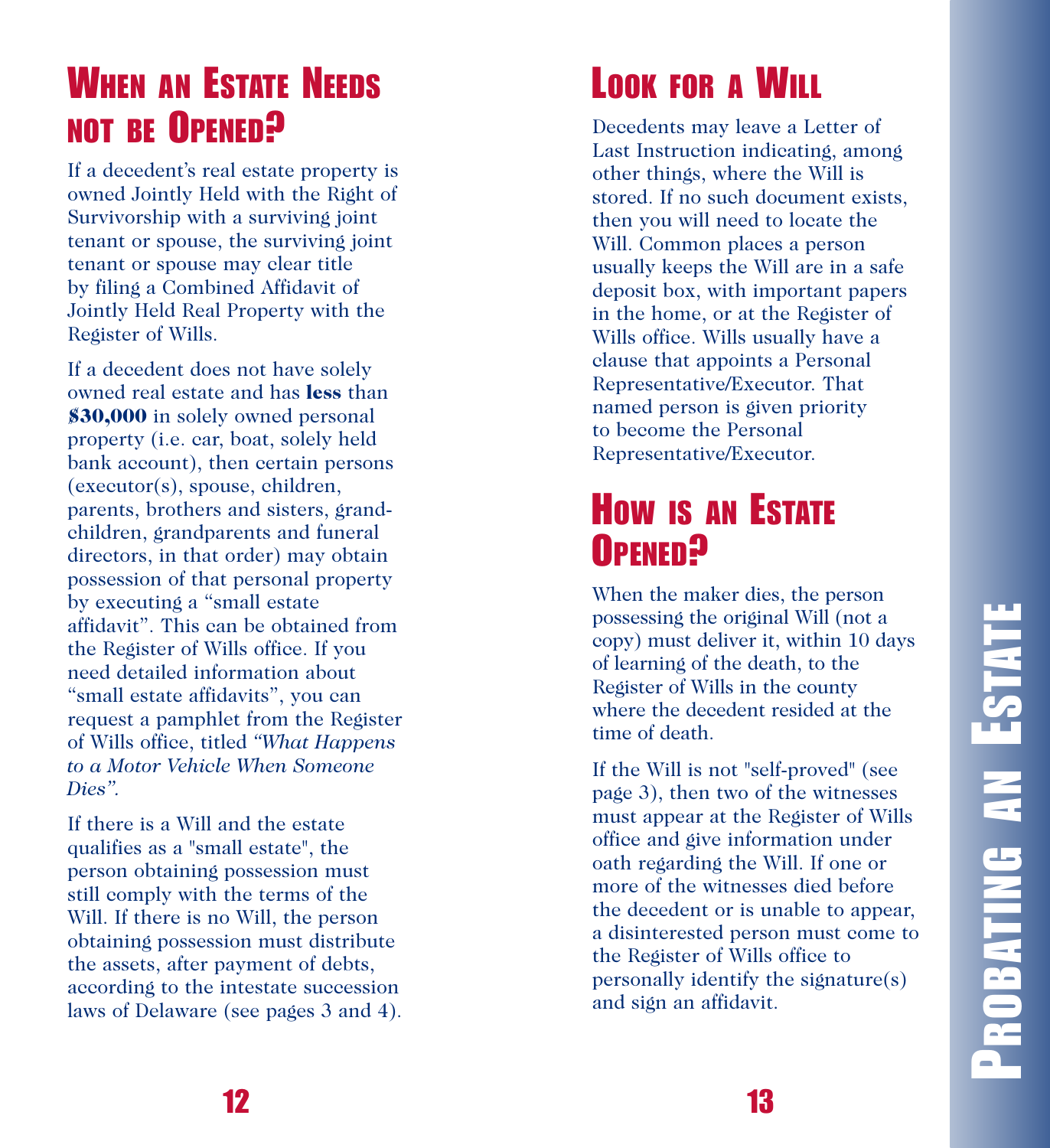### **WHEN AN ESTATE NEEDS NOT BE OPENED?**

If a decedent's real estate property is owned Jointly Held with the Right of Survivorship with a surviving joint tenant or spouse, the surviving joint tenant or spouse may clear title by filing a Combined Affidavit of Jointly Held Real Property with the Register of Wills.

If a decedent does not have solely owned real estate and has less than **\$30,000** in solely owned personal property (i.e. car, boat, solely held bank account), then certain persons (executor(s), spouse, children, parents, brothers and sisters, grandchildren, grandparents and funeral directors, in that order) may obtain possession of that personal property by executing a "small estate affidavit". This can be obtained from the Register of Wills office. If you need detailed information about "small estate affidavits", you can request a pamphlet from the Register of Wills office, titled "What Happens *to a**Motor Vehicle When Someone D i e s " .*

If there is a Will and the estate qualifies as a "small estate", the person obtaining possession must still comply with the terms of the Will. If there is no Will, the person obtaining possession must distribute the assets, after payment of debts, according to the intestate succession laws of Delaware (see pages 3 and 4).

# **LOOK FOR A WILL**

Decedents may leave a Letter of Last Instruction indicating, among other things, where the Will is stored. If no such document exists, then you will need to locate the Will. Common places a person usually keeps the Will are in a safe deposit box, with important papers in the home, or at the Register of Wills office. Wills usually have a clause that appoints a Personal Representative/Executor. That named person is given priority to become the Personal Representative/Executor.

### **How is an Estate O P E N E D ?**

When the maker dies, the person possessing the original Will (not a copy) must deliver it, within 10 days of learning of the death, to the Register of Wills in the county where the decedent resided at the time of death.

If the Will is not "self-proved" (see page 3), then two of the witnesses must appear at the Register of Wills office and give information under oath regarding the Will. If one or more of the witnesses died before the decedent or is unable to appear, a disinterested person must come to the Register of Wills office to personally identify the signature(s) and sign an affidavit.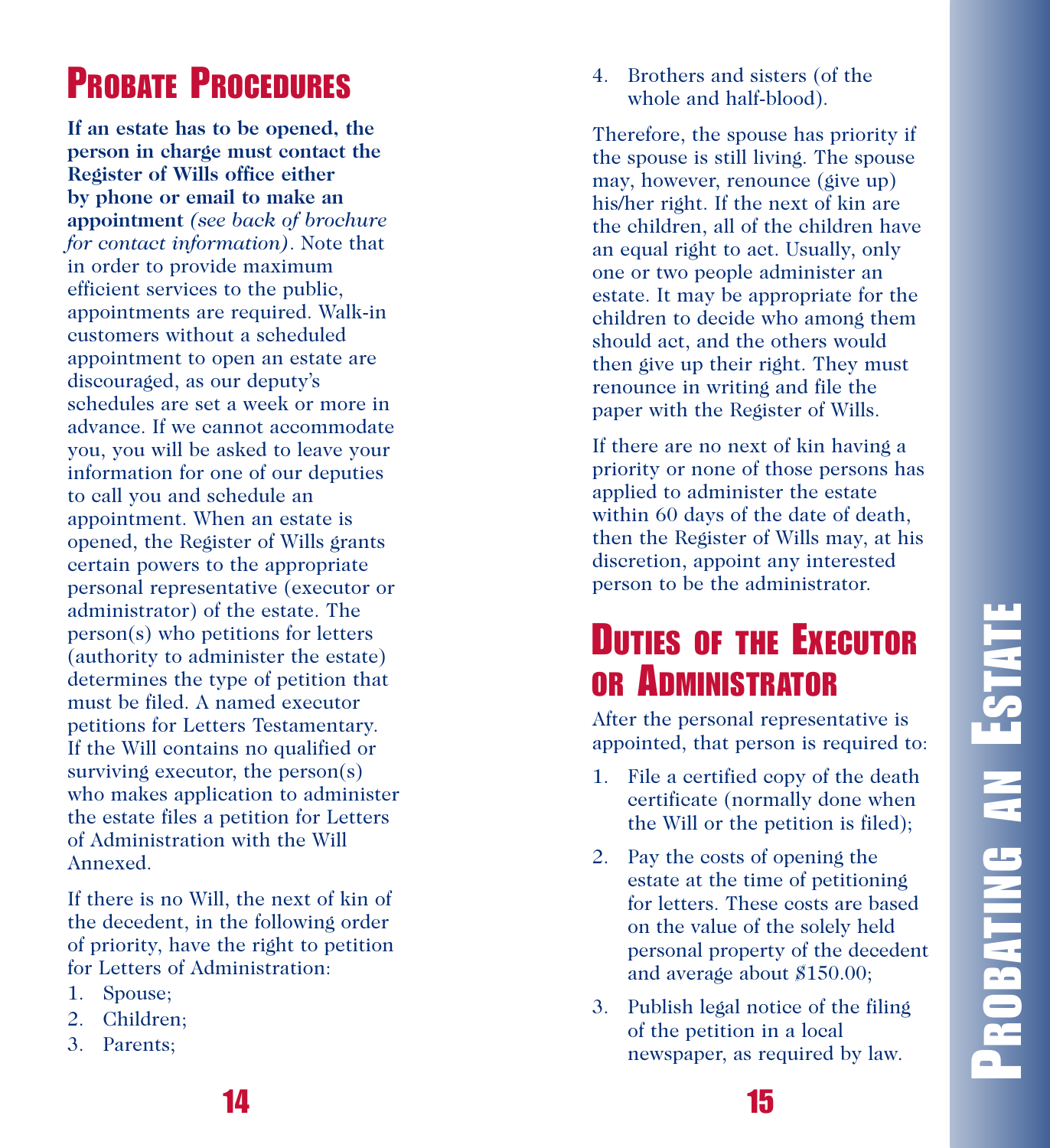# **PROBATE PROCEDURES**

If an estate has to be opened, the person in charge must contact the Register of Wills office either **by** phone or email to make an appointment (see back of brochure *for* contact information). Note that in order to provide maximum efficient services to the public, appointments are required. Walk-in customers without a scheduled appointment to open an estate are discouraged, as our deputy's schedules are set a week or more in advance. If we cannot accommodate you, you will be asked to leave your information for one of our deputies to call you and schedule an appointment. When an estate is opened, the Register of Wills grants certain powers to the appropriate personal representative (executor or administrator) of the estate. The person(s) who petitions for letters (authority to administer the estate) determines the type of petition that must be filed. A named executor petitions for Letters Testamentary. If the Will contains no qualified or surviving executor, the person(s) who makes application to administer the estate files a petition for Letters of Administration with the Will Annexed.

If there is no Will, the next of kin of the decedent, in the following order of priority, have the right to petition for Letters of Administration:

- 1. Spouse;
- 2. Children;
- 3. Parents;

4. Brothers and sisters (of the whole and half-blood).

Therefore, the spouse has priority if the spouse is still living. The spouse may, however, renounce (give up) his/her right. If the next of kin are the children, all of the children have an equal right to act. Usually, only one or two people administer an estate. It may be appropriate for the children to decide who among them should act, and the others would then give up their right. They must renounce in writing and file the paper with the Register of Wills.

If there are no next of kin having a priority or none of those persons has applied to administer the estate within 60 days of the date of death, then the Register of Wills may, at his discretion, appoint any interested person to be the administrator.

### **DUTIES OF THE EXECUTOR** OR ADMINISTRATOR

After the personal representative is appointed, that person is required to:

- 1. File a certified copy of the death certificate (normally done when the Will or the petition is filed);
- 2. Pay the costs of opening the estate at the time of petitioning for letters. These costs are based on the value of the solely held personal property of the decedent and average about \$150.00;
- 3. Publish legal notice of the filing of the petition in a local newspaper, as required by law.

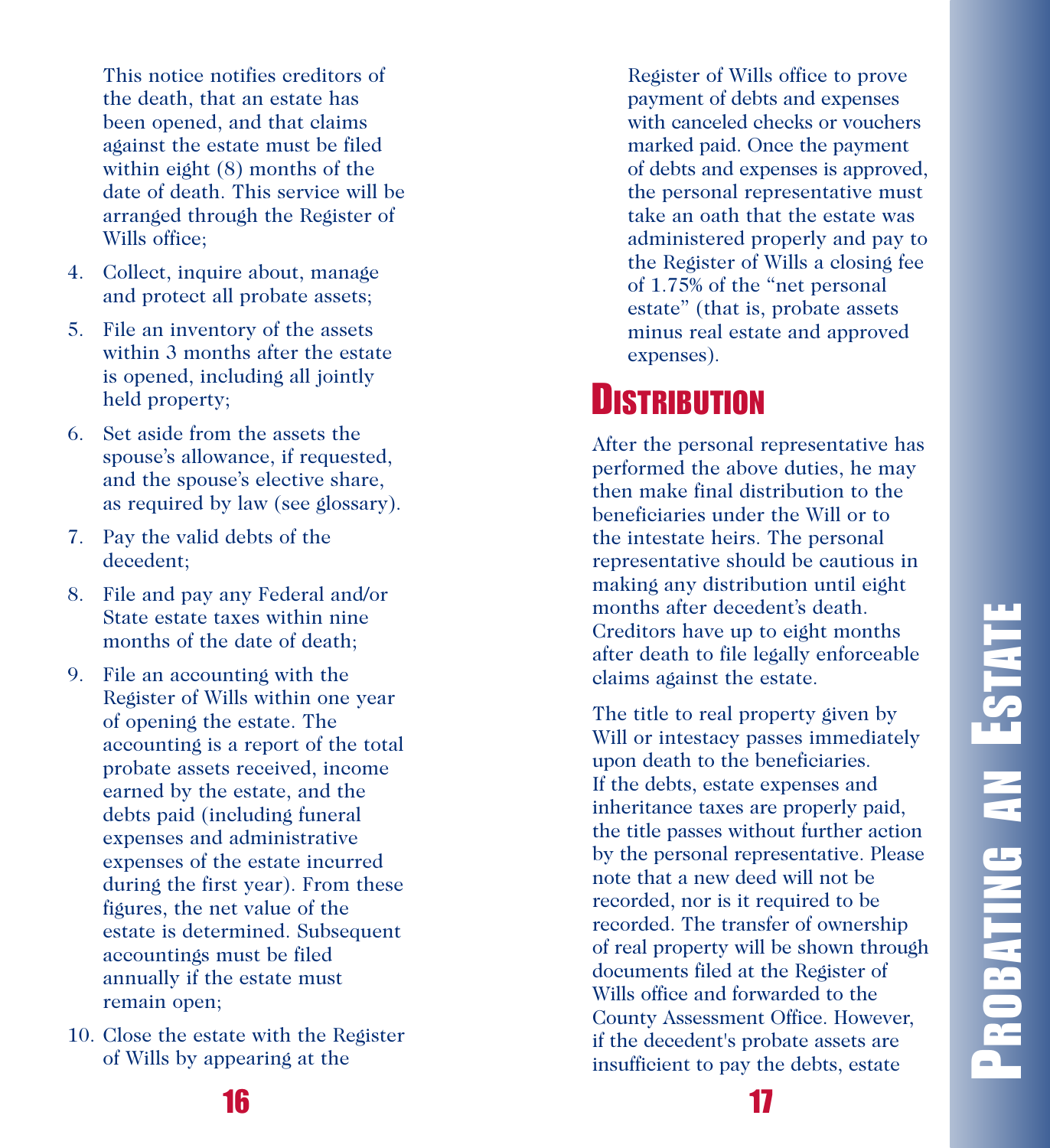This notice notifies creditors of the death, that an estate has been opened, and that claims against the estate must be filed within eight  $(8)$  months of the date of death. This service will be arranged through the Register of Wills office;

- 4. Collect, inquire about, manage and protect all probate assets;
- 5. File an inventory of the assets within 3 months after the estate is opened, including all jointly held property;
- 6. Set aside from the assets the spouse's allowance, if requested, and the spouse's elective share, as required by law (see glossary).
- 7. Pay the valid debts of the decedent;
- 8. File and pay any Federal and/or State estate taxes within nine months of the date of death;
- 9. File an accounting with the Register of Wills within one year of opening the estate. The accounting is a report of the total probate assets received, income earned by the estate, and the debts paid (including funeral expenses and administrative expenses of the estate incurred during the first year). From these figures, the net value of the estate is determined. Subsequent accountings must be filed annually if the estate must remain open;
- 10. Close the estate with the Register of Wills by appearing at the

Register of Wills office to prove payment of debts and expenses with canceled checks or vouchers marked paid. Once the payment of debts and expenses is approved, the personal representative must take an oath that the estate was administered properly and pay to the Register of Wills a closing fee of 1.75% of the "net personal estate" (that is, probate assets minus real estate and approved expenses).

# **D**ISTRIBUTION

After the personal representative has performed the above duties, he may then make final distribution to the beneficiaries under the Will or to the intestate heirs. The personal representative should be cautious in making any distribution until eight months after decedent's death. Creditors have up to eight months after death to file legally enforceable claims against the estate.

The title to real property given by Will or intestacy passes immediately upon death to the beneficiaries. If the debts, estate expenses and inheritance taxes are properly paid, the title passes without further action by the personal representative. Please note that a new deed will not be recorded, nor is it required to be recorded. The transfer of ownership of real property will be shown through documents filed at the Register of Wills office and forwarded to the County Assessment Office. However, if the decedent's probate assets are insufficient to pay the debts, estate

**1 6**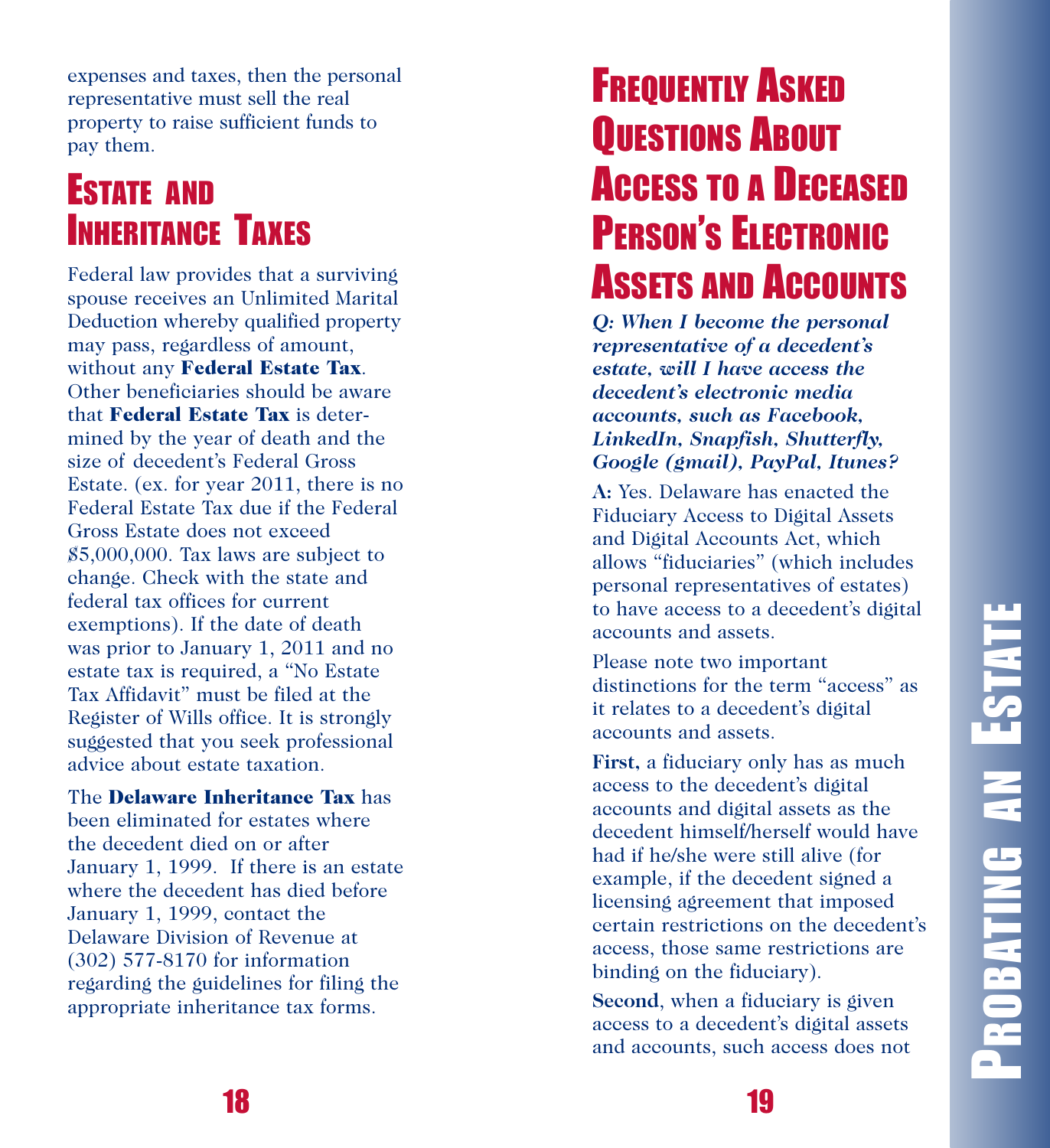expenses and taxes, then the personal representative must sell the real property to raise sufficient funds to pay them.

### **ESTATE AND INHERITANCE TAXES**

Federal law provides that a surviving spouse receives an Unlimited Marital Deduction whereby qualified property may pass, regardless of amount, without any Federal Estate Tax. Other beneficiaries should be aware that Federal Estate Tax is determined by the year of death and the size of decedent's Federal Gross Estate. (ex. for year 2011, there is no Federal Estate Tax due if the Federal Gross Estate does not exceed  $$5,000,000$ . Tax laws are subject to change. Check with the state and federal tax offices for current exemptions). If the date of death was prior to January 1, 2011 and no estate tax is required, a "No Estate Tax Affidavit" must be filed at the Register of Wills office. It is strongly suggested that you seek professional advice about estate taxation.

The Delaware Inheritance Tax has been eliminated for estates where the decedent died on or after January 1, 1999. If there is an estate where the decedent has died before January 1, 1999, contact the Delaware Division of Revenue at (302) 577-8170 for information regarding the guidelines for filing the appropriate inheritance tax forms.

### **FREQUENTLY ASKED QUESTIONS ABOUT Access to a Deceased** PERSON'S ELECTRONIC ' **A**ssets and **A**ccounts

*Q*: When I become the personal *representative of a decedent's estate, will I have access the decedent's electronic media accounts, such as Facebook, L i n k e dIn , S n a pfi s h , S h u t te rfly,* Google (gmail), PayPal, Itunes?

A: Yes. Delaware has enacted the Fiduciary Access to Digital Assets and Digital Accounts Act, which allows "fiduciaries" (which includes personal representatives of estates) to have access to a decedent's digital accounts and assets.

Please note two important distinctions for the term "access" as it relates to a decedent's digital accounts and assets.

First, a fiduciary only has as much access to the decedent's digital accounts and digital assets as the decedent himself/herself would have had if he/she were still alive (for example, if the decedent signed a licensing agreement that imposed certain restrictions on the decedent's access, those same restrictions are binding on the fiduciary).

**Second**, when a fiduciary is given access to a decedent's digital assets and accounts, such access does not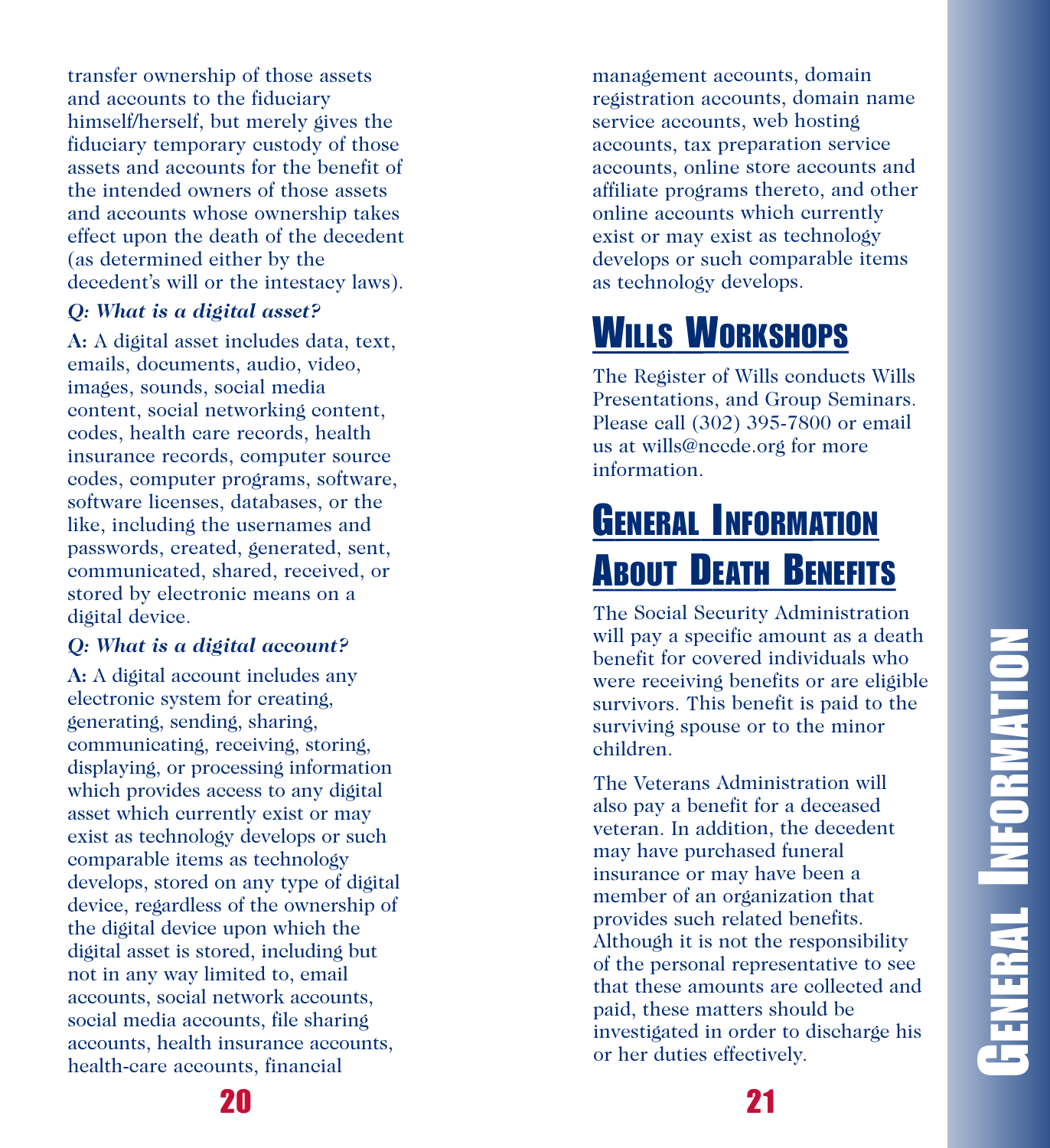transfer ownership of those assets and accounts to the fiduciary himself/herself, but merely gives the fiduciary temporary custody of those assets and accounts for the benefit of the intended owners of those assets and accounts whose ownership takes effect upon the death of the decedent (as determined either by the decedent's will or the intestacy laws).

### *Q : Wh a t i s a d ig i ta l a s s e t ?*

A: A digital asset includes data, text, emails, documents, audio, video, images, sounds, social media content, social networking content, codes, health care records, health insurance records, computer source codes, computer programs, software, software licenses, databases, or the like, including the usernames and passwords, created, generated, sent, communicated, shared, received, or stored by electronic means on a digital device.

### *Q : Wh a t i s a d ig i ta l a c c o u n t ?*

A: A digital account includes any electronic system for creating, generating, sending, sharing, communicating, receiving, storing, displaying, or processing information which provides access to any digital asset which currently exist or may exist as technology develops or such comparable items as technology develops, stored on any type of digital device, regardless of the ownership of the digital device upon which the digital asset is stored, including but not in any way limited to, email accounts, social network accounts, social media accounts, file sharing accounts, health insurance accounts, health-care accounts, financial

management accounts, domain registration accounts, domain name service accounts, web hosting accounts, tax preparation service accounts, online store accounts and affiliate programs thereto, and other online accounts which currently exist or may exist as technology develops or such comparable items as technology develops.

# **W**ILLS WORKSHOPS

The Register of Wills conducts Wills Presentations, and Group Seminars. Please call (302) 395-7800 or email us at wills@nccde.org for more information .

# **GENERAL INFORMATION A**BOUT DEATH BENEFITS

The Social Security Administration will pay a specific amount as a death benefit for covered individuals who were receiving benefits or are eligible survivors. This benefit is paid to the surviving spouse or to the minor ehildren.

The Veterans Administration will also pay a benefit for a deceased veteran. In addition, the decedent may have purchased funeral insurance or may have been a member of an organization that provides such related benefits. Although it is not the responsibility of the personal representative to see that these amounts are collected and paid, these matters should be investigated in order to discharge his or her duties effectively.

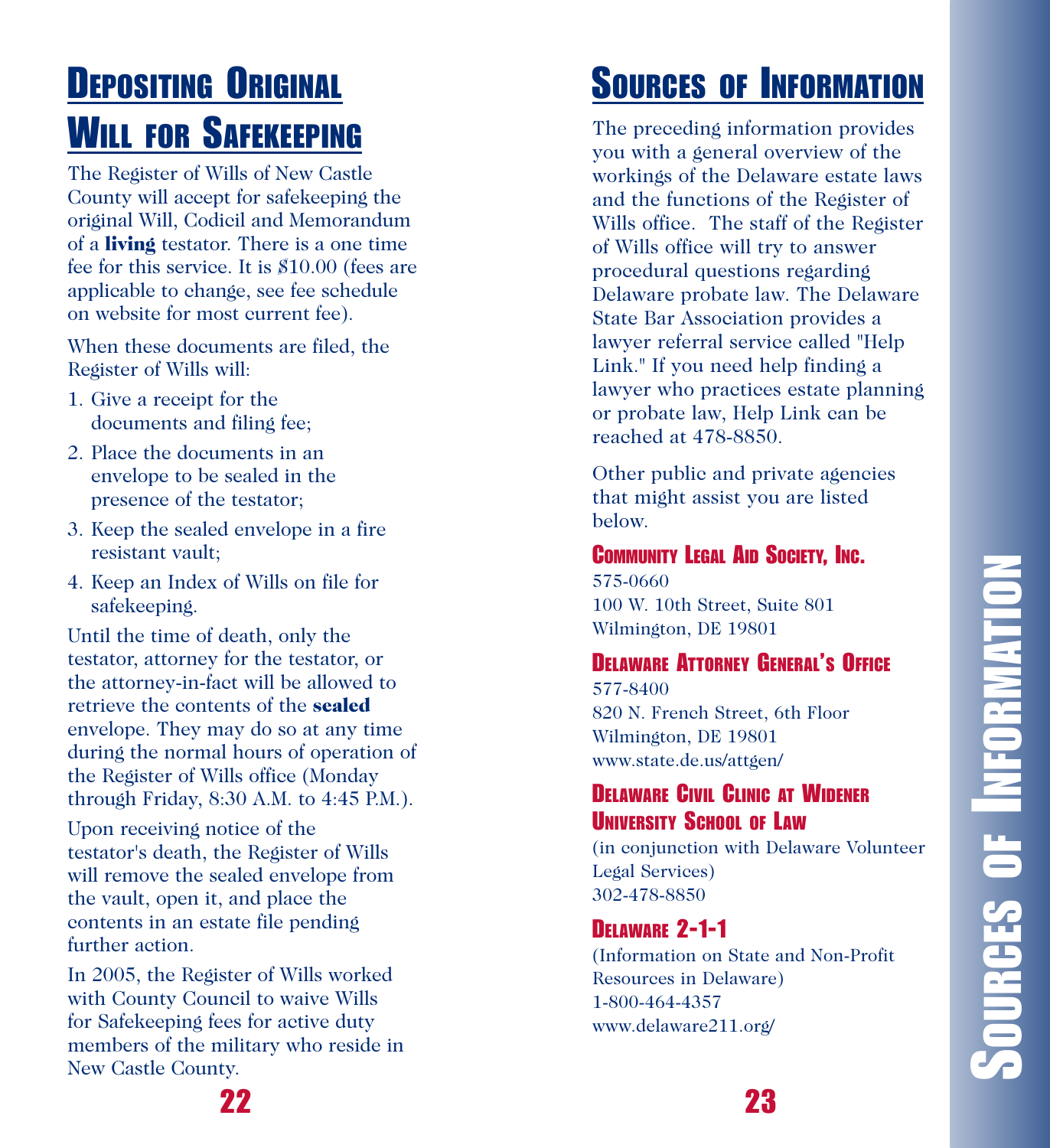# **DEPOSITING ORIGINAL WILL FOR SAFEKEEPING**

The Register of Wills of New Castle County will accept for safekeeping the original Will, Codicil and Memorandum of a **living** testator. There is a one time fee for this service. It is \$10.00 (fees are applicable to change, see fee schedule on website for most current fee).

When these documents are filed, the Register of Wills will:

- 1. Give a receipt for the documents and filing fee;
- 2. Place the documents in an envelope to be sealed in the presence of the testator;
- 3. Keep the sealed envelope in a fire resistant vault;
- 4. Keep an Index of Wills on file for safekeeping.

Until the time of death, only the testator, attorney for the testator, or the attorney-in-fact will be allowed to retrieve the contents of the sealed envelope. They may do so at any time during the normal hours of operation of the Register of Wills office (Monday through Friday, 8:30 A.M. to 4:45 P.M.).

Upon receiving notice of the testator's death, the Register of Wills will remove the sealed envelope from the vault, open it, and place the contents in an estate file pending further action.

In 2005, the Register of Wills worked with County Council to waive Wills for Safekeeping fees for active duty members of the military who reside in New Castle County.

# **SOURCES OF INFORMATION**

The preceding information provides you with a general overview of the workings of the Delaware estate laws and the functions of the Register of Wills office. The staff of the Register of Wills office will try to answer procedural questions regarding Delaware probate law. The Delaware State Bar Association provides a lawyer referral service called "Help Link." If you need help finding a lawyer who practices estate planning or probate law, Help Link can be reached at 478-8850.

Other public and private agencies that might assist you are listed below.

### **COMMUNITY LEGAL AID SOCIETY, INC.**

575-0660 100 W. 10th Street, Suite 801 Wilmington, DE 19801

### **DELAWARE ATTORNEY GENERAL'S OFFICE**

5 7 7 - 8 4 0 0 820 N. French Street, 6th Floor Wilmington, DE 19801 www.state.de.us/attgen/

### **DELAWARE CIVIL CLINIC AT WIDENER** UNIVERSITY SCHOOL OF LAW

(in conjunction with Delaware Volunteer Legal Services) 302-478-8850

### **DELAWARE 2-1-1**

(Information on State and Non-Profit Resources in Delaware) 1-800-464-4357 www.delaware211.org/

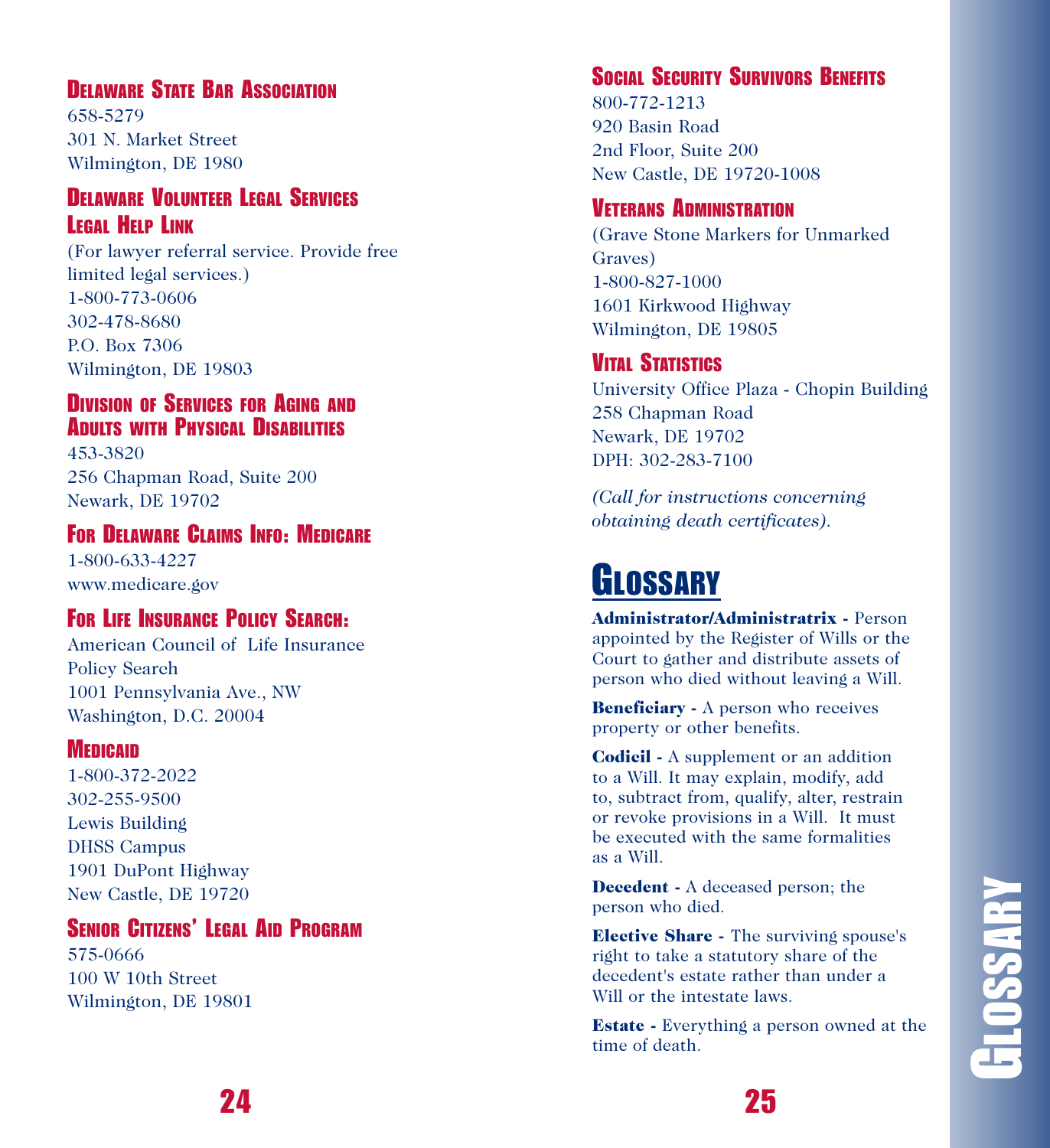### **DELAWARE STATE BAR ASSOCIATION**

6 5 8 - 5 2 7 9 301 N. Market Street Wilmington, DE 1980

### **DELAWARE VOLUNTEER LEGAL SERVICES LEGAL HELP LINK**

(For lawyer referral service. Provide free limited legal services.) 1-800-773-0606 302-478-8680 P.O. Box 7306 Wilmington, DE 19803

### **DIVISION OF SERVICES FOR AGING AND ADULTS WITH PHYSICAL DISABILITIES**

4 5 3 - 3 8 2 0 256 Chapman Road, Suite 200 Newark, DE 19702

### **FOR DELAWARE CLAIMS INFO: MEDICARE**

1-800-633-4227 www.medicare.gov

### **FOR LIFE INSURANCE POLICY SEARCH:**

American Council of Life Insurance Policy Search 1001 Pennsylvania Ave., NW Washington, D.C. 20004

### **MEDICAID**

1-800-372-2022 302-255-9500 Lewis Building DHSS Campus 1901 DuPont Highway New Castle, DE 19720

### **SENIOR CITIZENS' LEGAL AID PROGRAM**

575-0666 100 W 10th Street Wilmington, DE 19801

### **SOCIAL SECURITY SURVIVORS BENEFITS**

800-772-1213 920 Basin Road 2nd Floor, Suite 200 New Castle, DE 19720-1008

### **VETERANS ADMINISTRATION**

(Grave Stone Markers for Unmarked Graves) 1-800-827-1000 1601 Kirkwood Highway Wilmington, DE 19805

### **VITAL STATISTICS**

University Office Plaza - Chopin Building 258 Chapman Road Newark, DE 19702 DPH: 302-283-7100

(Call for instructions concerning *obtaining death certificates*).

# **GLOSSARY**

Administrator/Administratrix - Person appointed by the Register of Wills or the Court to gather and distribute assets of person who died without leaving a Will.

**Beneficiary** - A person who receives property or other benefits.

**Codicil** - A supplement or an addition to a Will. It may explain, modify, add to, subtract from, qualify, alter, restrain or revoke provisions in a Will. It must be executed with the same formalities a s a W i l l .

**Decedent** - A deceased person; the person who died.

**Elective Share -** The surviving spouse's right to take a statutory share of the decedent's estate rather than under a Will or the intestate laws.

**Estate** - Everything a person owned at the time of death.

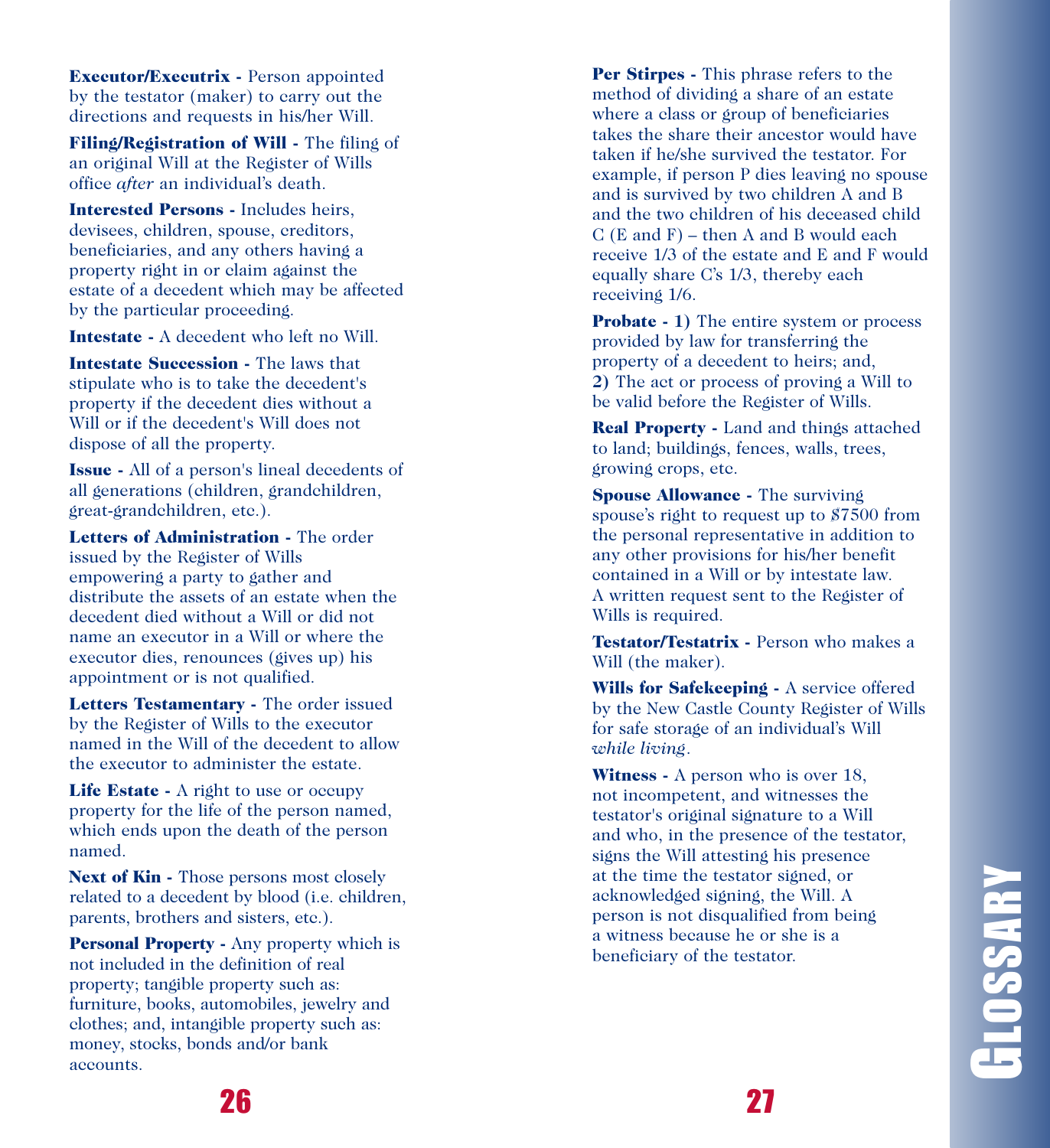**Executor/Executrix - Person appointed** by the testator (maker) to carry out the directions and requests in his/her Will.

Filing/Registration of Will - The filing of an original Will at the Register of Wills office after an individual's death.

Interested Persons - Includes heirs, devisees, children, spouse, creditors, beneficiaries, and any others having a property right in or claim against the estate of a decedent which may be affected by the particular proceeding.

**Intestate -** A decedent who left no Will.

Intestate Succession - The laws that stipulate who is to take the decedent's property if the decedent dies without a Will or if the decedent's Will does not dispose of all the property.

**Issue** - All of a person's lineal decedents of all generations (children, grandchildren, great-grandchildren, etc.).

Letters of Administration - The order issued by the Register of Wills empowering a party to gather and distribute the assets of an estate when the decedent died without a Will or did not name an executor in a Will or where the executor dies, renounces (gives up) his appointment or is not qualified.

Letters Testamentary - The order issued by the Register of Wills to the executor named in the Will of the decedent to allow the executor to administer the estate.

Life Estate - A right to use or occupy property for the life of the person named, which ends upon the death of the person named.

**Next of Kin -** Those persons most closely related to a decedent by blood (i.e. children, parents, brothers and sisters, etc.).

**Personal Property -** Any property which is not included in the definition of real property; tangible property such as: furniture, books, automobiles, jewelry and clothes; and, intangible property such as: money, stocks, bonds and/or bank accounts.

Per Stirpes - This phrase refers to the method of dividing a share of an estate where a class or group of beneficiaries takes the share their ancestor would have taken if he/she survived the testator. For example, if person P dies leaving no spouse and is survived by two children A and B and the two children of his deceased child  $C(E \text{ and } F)$  – then A and B would each receive 1/3 of the estate and E and F would equally share C's 1/3, thereby each receiving 1/6.

**Probate - 1) The entire system or process** provided by law for transferring the property of a decedent to heirs; and, 2) The act or process of proving a Will to be valid before the Register of Wills.

**Real Property - Land and things attached** to land; buildings, fences, walls, trees, growing crops, etc.

**Spouse Allowance - The surviving** spouse's right to request up to \$7500 from the personal representative in addition to any other provisions for his/her benefit contained in a Will or by intestate law. A written request sent to the Register of Wills is required.

Testator/Testatrix - Person who makes a Will (the maker).

Wills for Safekeeping - A service offered by the New Castle County Register of Wills for safe storage of an individual's Will *w h i l e l i v i ng* .

**Witness** - A person who is over 18, not incompetent, and witnesses the testator's original signature to a Will and who, in the presence of the testator, signs the Will attesting his presence at the time the testator signed, or acknowledged signing, the Will. A person is not disqualified from being a witness because he or she is a beneficiary of the testator.